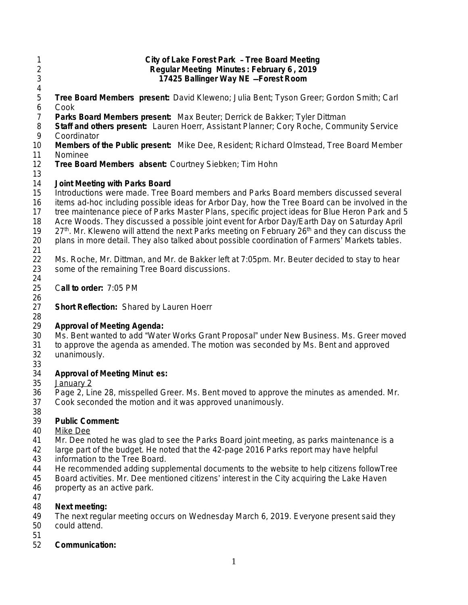- **City of Lake Forest Park Tree Board Meeting Regular Meeting Minutes : February 6 , 2019 17425 Ballinger Way NE** —**Forest Room Tree Board Members present:** David Kleweno; Julia Bent; Tyson Greer; Gordon Smith; Carl Cook **Parks Board Members present:** Max Beuter; Derrick de Bakker; Tyler Dittman 8 **Staff and others present:** Lauren Hoerr, Assistant Planner; Cory Roche, Community Service<br>9 Coordinator Coordinator **Members of the Public present:** Mike Dee, Resident; Richard Olmstead, Tree Board Member 11 Nominee<br>12 **Tree Boa Tree Board Members absent:** Courtney Siebken; Tim Hohn **Joint Meeting with Parks Board** Introductions were made. Tree Board members and Parks Board members discussed several items ad-hoc including possible ideas for Arbor Day, how the Tree Board can be involved in the tree maintenance piece of Parks Master Plans, specific project ideas for Blue Heron Park and 5 18 Acre Woods. They discussed a possible joint event for Arbor Day/Earth Day on Saturday April 19 27<sup>th</sup>. Mr. Kleweno will attend the next Parks meeting on February 26<sup>th</sup> and they can discuss the 19 27<sup>th</sup>. Mr. Kleweno will attend the next Parks meeting on February 26<sup>th</sup> and they can discuss the plans in more detail. They also talked about possible coordination of Farmers' Markets tables.  $\frac{21}{22}$
- 22 Ms. Roche, Mr. Dittman, and Mr. de Bakker left at 7:05pm. Mr. Beuter decided to stay to hear 23 some of the remaining Tree Board discussions. some of the remaining Tree Board discussions.
- C**all to order:** 7:05 PM
- 26<br>27 **Short Reflection: Shared by Lauren Hoerr**

#### 28<br>29 **Approval of Meeting Agenda:**

- Ms. Bent wanted to add "Water Works Grant Proposal" under New Business. Ms. Greer moved 31 to approve the agenda as amended. The motion was seconded by Ms. Bent and approved 32<br>32 unanimously. unanimously.
- 33<br>34

### **Approval of Meeting Minut es:**

- January 2
- Page 2, Line 28, misspelled Greer. Ms. Bent moved to approve the minutes as amended. Mr. Cook seconded the motion and it was approved unanimously.
- 38<br>39

# Public Comment:

- Mike Dee
- Mr. Dee noted he was glad to see the Parks Board joint meeting, as parks maintenance is a
- large part of the budget. He noted that the 42-page 2016 Parks report may have helpful
- information to the Tree Board.
- He recommended adding supplemental documents to the website to help citizens followTree
- Board activities. Mr. Dee mentioned citizens' interest in the City acquiring the Lake Haven
- property as an active park.
- 

# **Next meeting:**

The next regular meeting occurs on Wednesday March 6, 2019. Everyone present said they

- could attend.
- 
- **Communication:**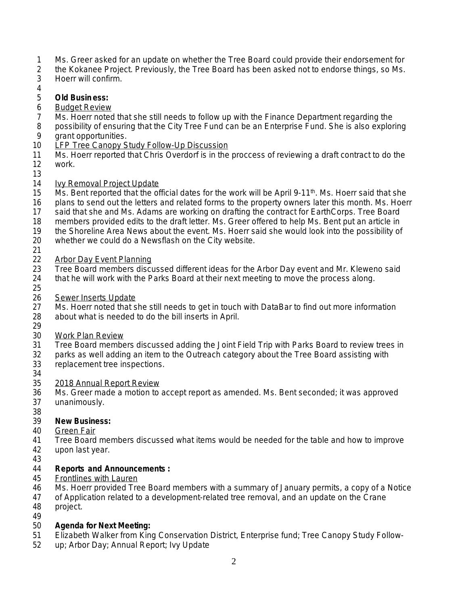- 1 Ms. Greer asked for an update on whether the Tree Board could provide their endorsement for<br>2 the Kokanee Project. Previously, the Tree Board has been asked not to endorse things, so Ms.
- 2 the Kokanee Project. Previously, the Tree Board has been asked not to endorse things, so Ms.
- 3 Hoerr will confirm.
- 4

### 5 **Old Busin ess:**

- 6 Budget Review
- 7 Ms. Hoerr noted that she still needs to follow up with the Finance Department regarding the
- 8 possibility of ensuring that the City Tree Fund can be an Enterprise Fund. She is also exploring arant opportunities.
- grant opportunities.
- 10 LFP Tree Canopy Study Follow-Up Discussion
- 11 Ms. Hoerr reported that Chris Overdorf is in the proccess of reviewing a draft contract to do the 12 work. work.
- 13

### 14 Ivy Removal Project Update

- 15 Ms. Bent reported that the official dates for the work will be April 9-11<sup>th</sup>. Ms. Hoerr said that she
- 16 plans to send out the letters and related forms to the property owners later this month. Ms. Hoerr
- 17 said that she and Ms. Adams are working on drafting the contract for EarthCorps. Tree Board
- 18 members provided edits to the draft letter. Ms. Greer offered to help Ms. Bent put an article in<br>19 the Shoreline Area News about the event. Ms. Hoerr said she would look into the possibility of
- the Shoreline Area News about the event. Ms. Hoerr said she would look into the possibility of
- 20 whether we could do a Newsflash on the City website.
- $\frac{21}{22}$

# 22 Arbor Day Event Planning<br>23 Tree Board members discu

- 23 Tree Board members discussed different ideas for the Arbor Day event and Mr. Kleweno said<br>24 that he will work with the Parks Board at their next meeting to move the process along. that he will work with the Parks Board at their next meeting to move the process along.
- 25
- 
- 26 Sewer Inserts Update<br>27 Ms. Hoerr noted that s Ms. Hoerr noted that she still needs to get in touch with DataBar to find out more information 28 about what is needed to do the bill inserts in April. 29
- 30 Work Plan Review
- 31 Tree Board members discussed adding the Joint Field Trip with Parks Board to review trees in<br>32 Darks as well adding an item to the Outreach category about the Tree Board assisting with
- parks as well adding an item to the Outreach category about the Tree Board assisting with
- 33 replacement tree inspections.
- 34<br>35
- 2018 Annual Report Review
- 36 Ms. Greer made a motion to accept report as amended. Ms. Bent seconded; it was approved 37 unanimously.
- 38<br>39

# **New Business:**

- 40 Green Fair
- 41 Tree Board members discussed what items would be needed for the table and how to improve
- 42 upon last year.
- 43

### 44 **Reports and Announcements :**

### 45 Frontlines with Lauren

- 46 Ms. Hoerr provided Tree Board members with a summary of January permits, a copy of a Notice<br>47 of Application related to a development-related tree removal, and an update on the Crane
- 47 of Application related to a development-related tree removal, and an update on the Crane 48 project.
- 49

# 50 **Agenda for Next Meeting:**

- 51 Elizabeth Walker from King Conservation District, Enterprise fund; Tree Canopy Study Follow-
- 52 up; Arbor Day; Annual Report; Ivy Update